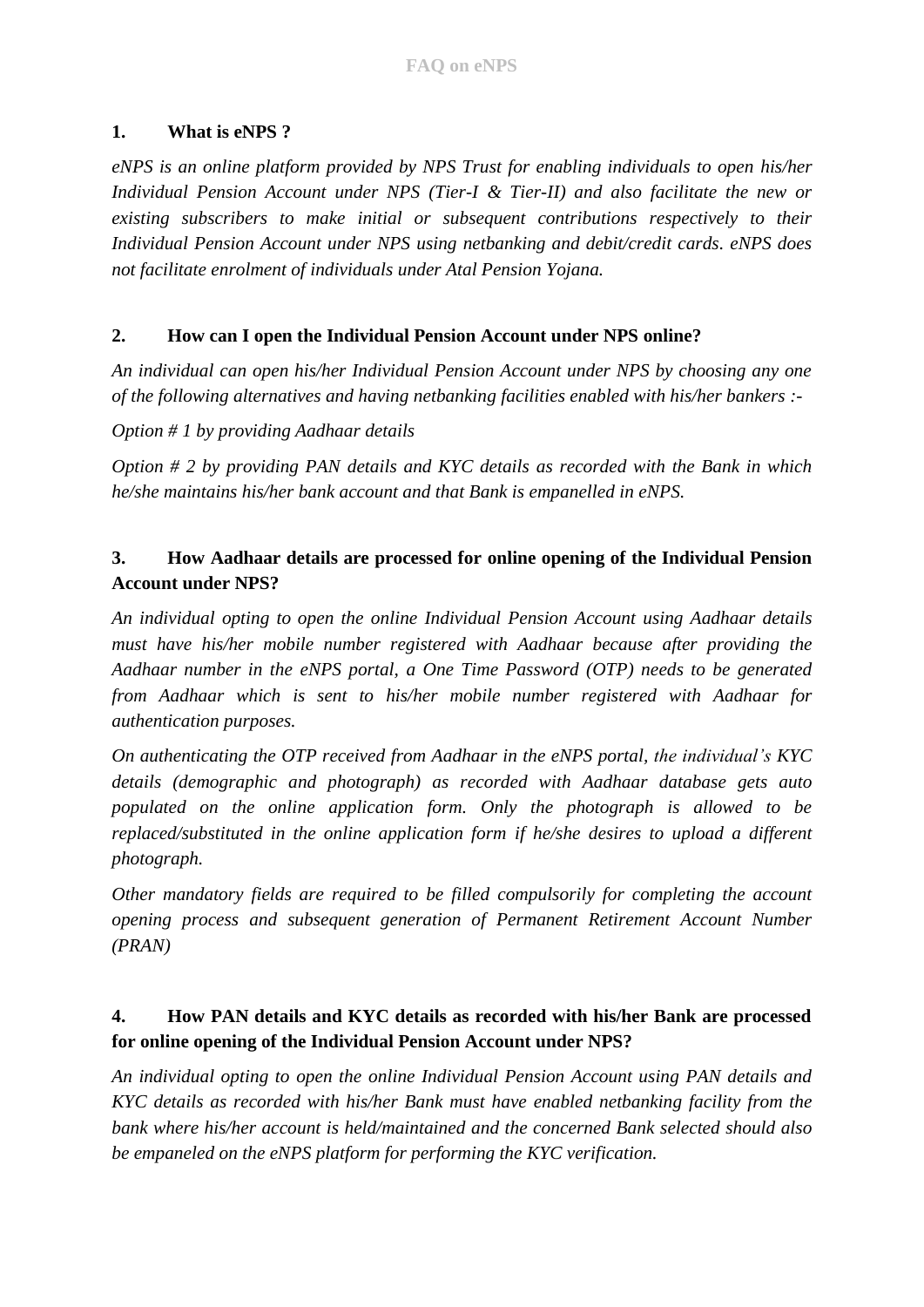### **1. What is eNPS ?**

*eNPS is an online platform provided by NPS Trust for enabling individuals to open his/her Individual Pension Account under NPS (Tier-I & Tier-II) and also facilitate the new or existing subscribers to make initial or subsequent contributions respectively to their Individual Pension Account under NPS using netbanking and debit/credit cards. eNPS does not facilitate enrolment of individuals under Atal Pension Yojana.*

### **2. How can I open the Individual Pension Account under NPS online?**

*An individual can open his/her Individual Pension Account under NPS by choosing any one of the following alternatives and having netbanking facilities enabled with his/her bankers :-*

*Option # 1 by providing Aadhaar details*

*Option # 2 by providing PAN details and KYC details as recorded with the Bank in which he/she maintains his/her bank account and that Bank is empanelled in eNPS.*

## **3. How Aadhaar details are processed for online opening of the Individual Pension Account under NPS?**

*An individual opting to open the online Individual Pension Account using Aadhaar details must have his/her mobile number registered with Aadhaar because after providing the Aadhaar number in the eNPS portal, a One Time Password (OTP) needs to be generated from Aadhaar which is sent to his/her mobile number registered with Aadhaar for authentication purposes.* 

*On authenticating the OTP received from Aadhaar in the eNPS portal, the individual's KYC details (demographic and photograph) as recorded with Aadhaar database gets auto populated on the online application form. Only the photograph is allowed to be replaced/substituted in the online application form if he/she desires to upload a different photograph.*

*Other mandatory fields are required to be filled compulsorily for completing the account opening process and subsequent generation of Permanent Retirement Account Number (PRAN)*

### **4. How PAN details and KYC details as recorded with his/her Bank are processed for online opening of the Individual Pension Account under NPS?**

*An individual opting to open the online Individual Pension Account using PAN details and KYC details as recorded with his/her Bank must have enabled netbanking facility from the bank where his/her account is held/maintained and the concerned Bank selected should also be empaneled on the eNPS platform for performing the KYC verification.*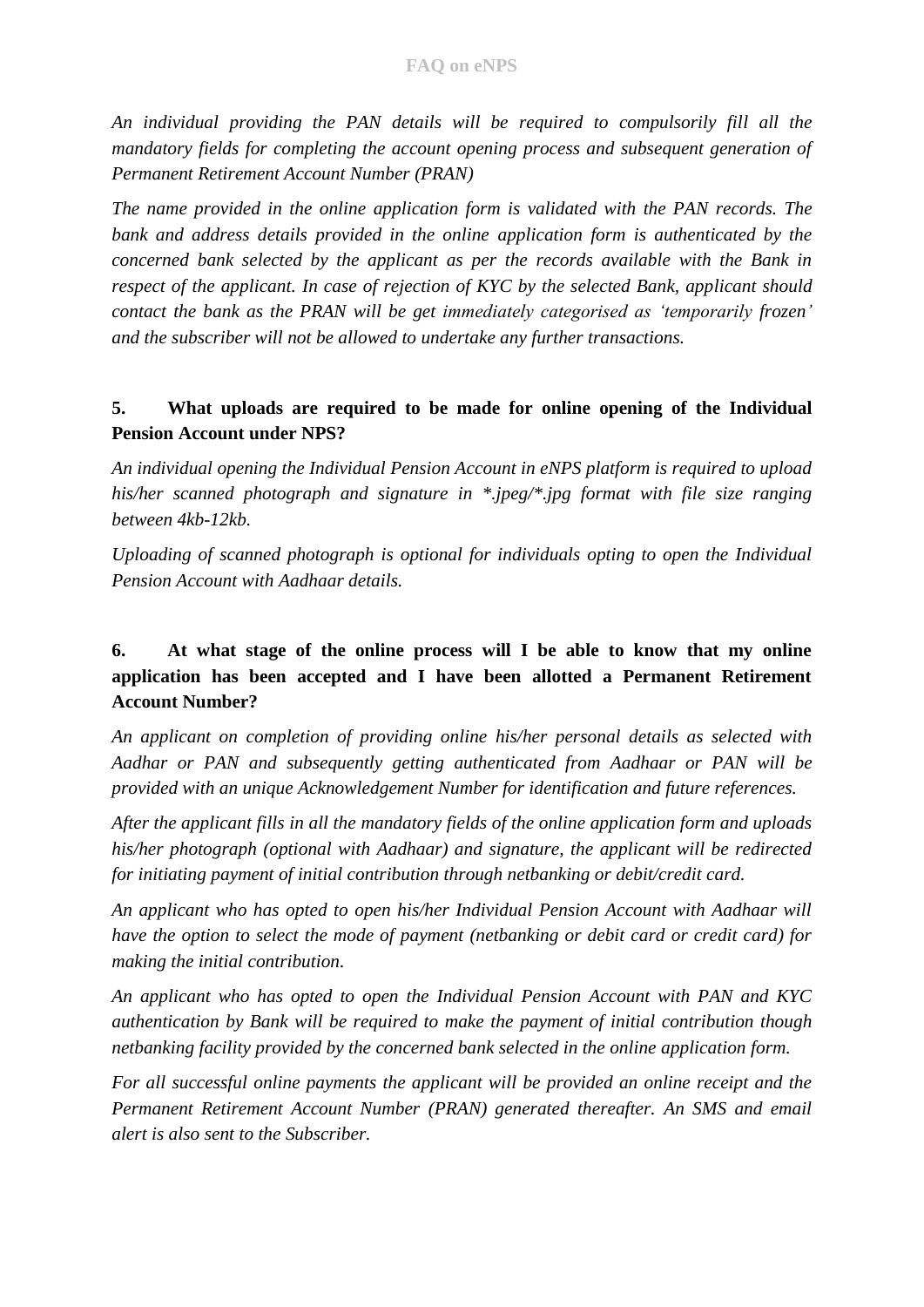*An individual providing the PAN details will be required to compulsorily fill all the mandatory fields for completing the account opening process and subsequent generation of Permanent Retirement Account Number (PRAN)*

*The name provided in the online application form is validated with the PAN records. The bank and address details provided in the online application form is authenticated by the concerned bank selected by the applicant as per the records available with the Bank in respect of the applicant. In case of rejection of KYC by the selected Bank, applicant should contact the bank as the PRAN will be get immediately categorised as 'temporarily frozen' and the subscriber will not be allowed to undertake any further transactions.*

### **5. What uploads are required to be made for online opening of the Individual Pension Account under NPS?**

*An individual opening the Individual Pension Account in eNPS platform is required to upload his/her scanned photograph and signature in \*.jpeg/\*.jpg format with file size ranging between 4kb-12kb.* 

*Uploading of scanned photograph is optional for individuals opting to open the Individual Pension Account with Aadhaar details.*

# **6. At what stage of the online process will I be able to know that my online application has been accepted and I have been allotted a Permanent Retirement Account Number?**

*An applicant on completion of providing online his/her personal details as selected with Aadhar or PAN and subsequently getting authenticated from Aadhaar or PAN will be provided with an unique Acknowledgement Number for identification and future references.*

*After the applicant fills in all the mandatory fields of the online application form and uploads his/her photograph (optional with Aadhaar) and signature, the applicant will be redirected for initiating payment of initial contribution through netbanking or debit/credit card.*

*An applicant who has opted to open his/her Individual Pension Account with Aadhaar will have the option to select the mode of payment (netbanking or debit card or credit card) for making the initial contribution.*

*An applicant who has opted to open the Individual Pension Account with PAN and KYC authentication by Bank will be required to make the payment of initial contribution though netbanking facility provided by the concerned bank selected in the online application form.*

*For all successful online payments the applicant will be provided an online receipt and the Permanent Retirement Account Number (PRAN) generated thereafter. An SMS and email alert is also sent to the Subscriber.*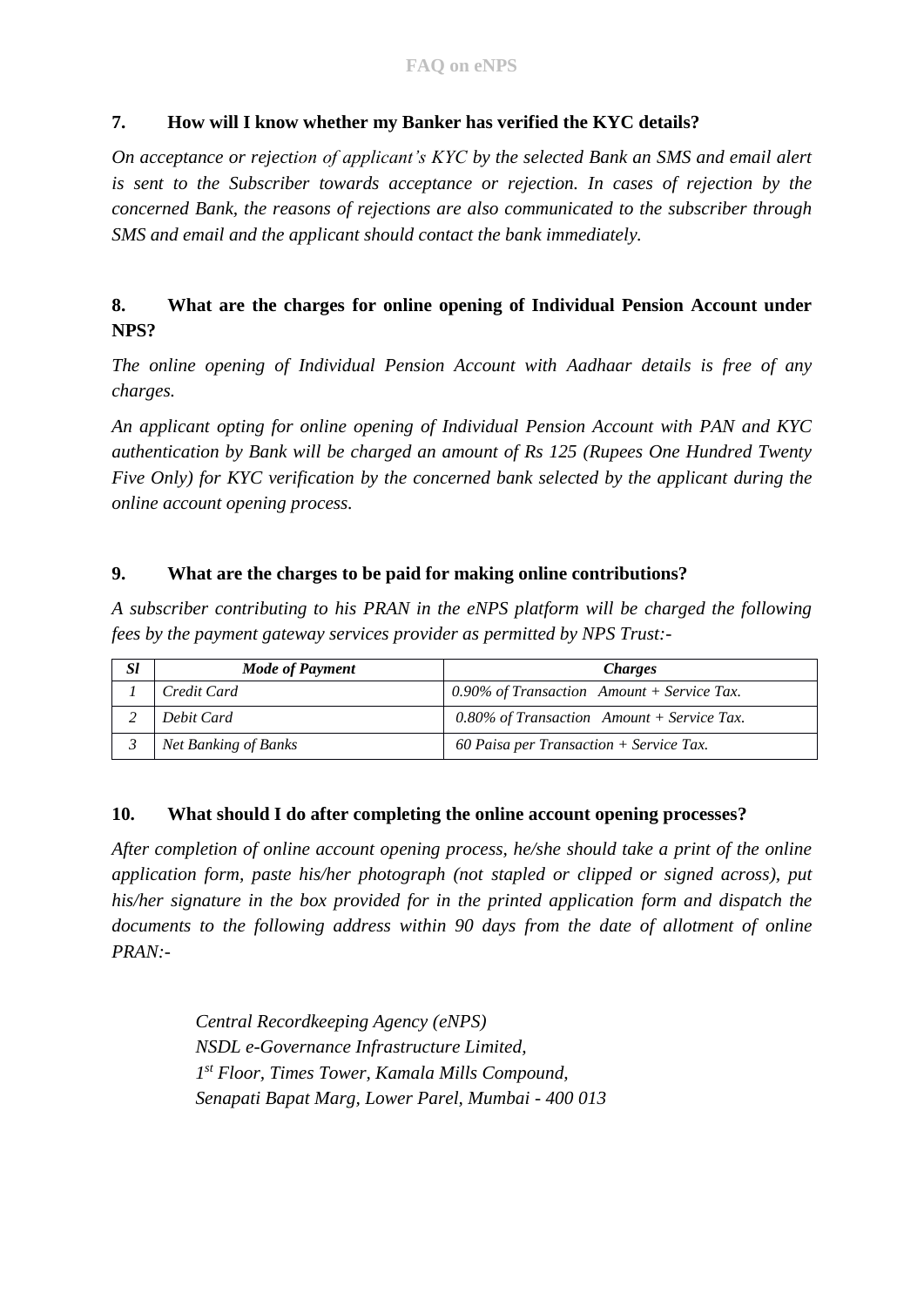### **7. How will I know whether my Banker has verified the KYC details?**

*On acceptance or rejection of applicant's KYC by the selected Bank an SMS and email alert is sent to the Subscriber towards acceptance or rejection. In cases of rejection by the concerned Bank, the reasons of rejections are also communicated to the subscriber through SMS and email and the applicant should contact the bank immediately.*

## **8. What are the charges for online opening of Individual Pension Account under NPS?**

*The online opening of Individual Pension Account with Aadhaar details is free of any charges.*

*An applicant opting for online opening of Individual Pension Account with PAN and KYC authentication by Bank will be charged an amount of Rs 125 (Rupees One Hundred Twenty Five Only) for KYC verification by the concerned bank selected by the applicant during the online account opening process.*

#### **9. What are the charges to be paid for making online contributions?**

*A subscriber contributing to his PRAN in the eNPS platform will be charged the following fees by the payment gateway services provider as permitted by NPS Trust:-*

| <i>Sl</i> | Mode of Payment      | <i>Charges</i>                             |
|-----------|----------------------|--------------------------------------------|
|           | Credit Card          | 0.90% of Transaction Amount + Service Tax. |
|           | Debit Card           | 0.80% of Transaction Amount + Service Tax. |
|           | Net Banking of Banks | 60 Paisa per Transaction $+$ Service Tax.  |

#### **10. What should I do after completing the online account opening processes?**

*After completion of online account opening process, he/she should take a print of the online application form, paste his/her photograph (not stapled or clipped or signed across), put his/her signature in the box provided for in the printed application form and dispatch the documents to the following address within 90 days from the date of allotment of online PRAN:-*

> *Central Recordkeeping Agency (eNPS) NSDL e-Governance Infrastructure Limited, 1 st Floor, Times Tower, Kamala Mills Compound, Senapati Bapat Marg, Lower Parel, Mumbai - 400 013*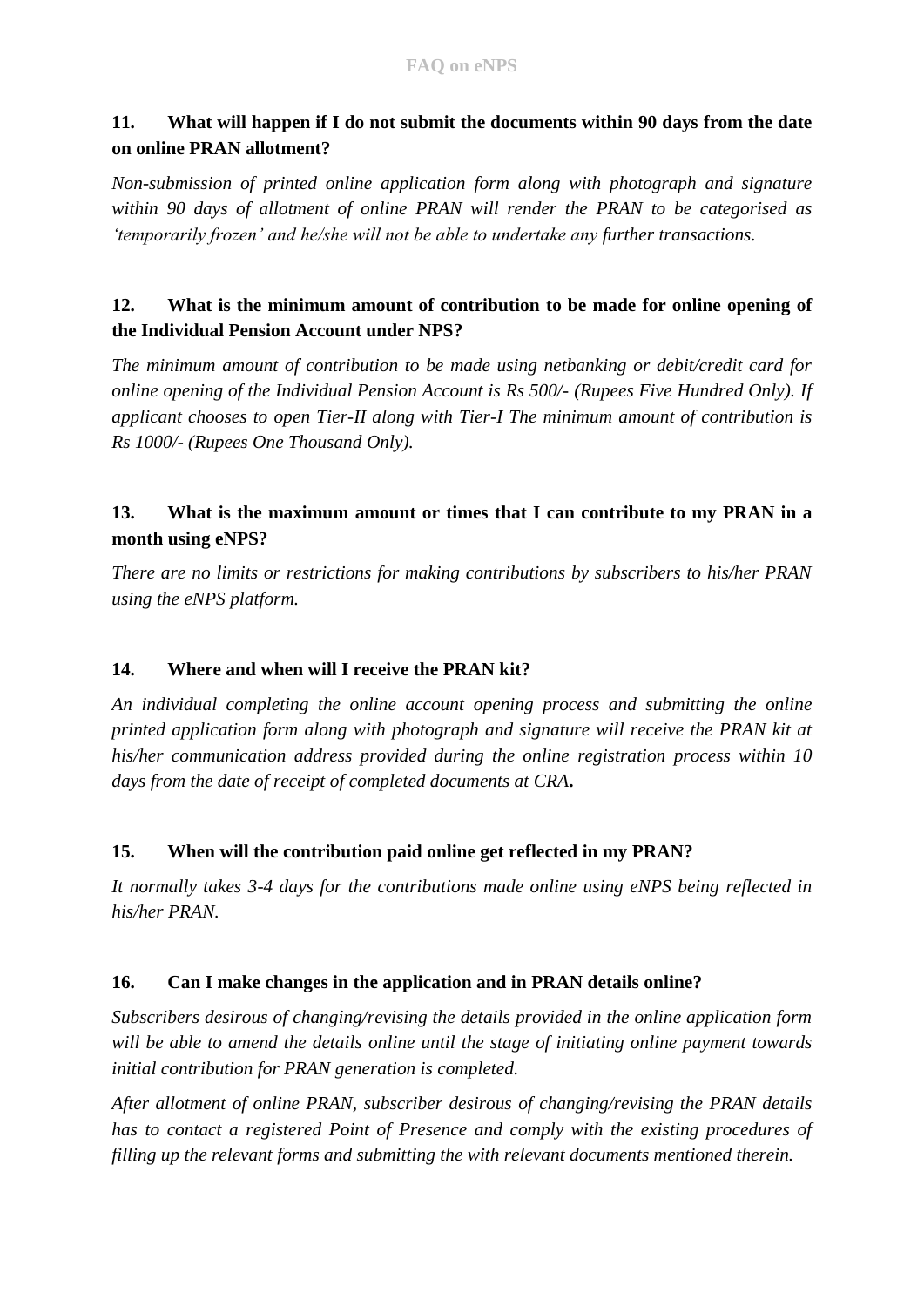## **11. What will happen if I do not submit the documents within 90 days from the date on online PRAN allotment?**

*Non-submission of printed online application form along with photograph and signature within 90 days of allotment of online PRAN will render the PRAN to be categorised as 'temporarily frozen' and he/she will not be able to undertake any further transactions.*

## **12. What is the minimum amount of contribution to be made for online opening of the Individual Pension Account under NPS?**

*The minimum amount of contribution to be made using netbanking or debit/credit card for online opening of the Individual Pension Account is Rs 500/- (Rupees Five Hundred Only). If applicant chooses to open Tier-II along with Tier-I The minimum amount of contribution is Rs 1000/- (Rupees One Thousand Only).*

## **13. What is the maximum amount or times that I can contribute to my PRAN in a month using eNPS?**

*There are no limits or restrictions for making contributions by subscribers to his/her PRAN using the eNPS platform.*

## **14. Where and when will I receive the PRAN kit?**

*An individual completing the online account opening process and submitting the online printed application form along with photograph and signature will receive the PRAN kit at his/her communication address provided during the online registration process within 10 days from the date of receipt of completed documents at CRA***.**

### **15. When will the contribution paid online get reflected in my PRAN?**

*It normally takes 3-4 days for the contributions made online using eNPS being reflected in his/her PRAN.*

### **16. Can I make changes in the application and in PRAN details online?**

*Subscribers desirous of changing/revising the details provided in the online application form will be able to amend the details online until the stage of initiating online payment towards initial contribution for PRAN generation is completed.*

*After allotment of online PRAN, subscriber desirous of changing/revising the PRAN details has to contact a registered Point of Presence and comply with the existing procedures of filling up the relevant forms and submitting the with relevant documents mentioned therein.*